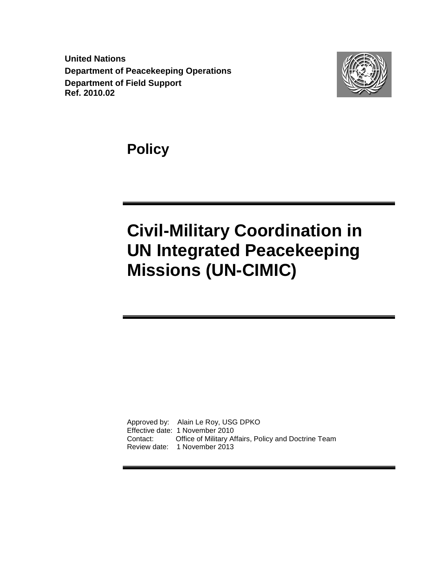**United Nations Department of Peacekeeping Operations Department of Field Support Ref. 2010.02**



**Policy** 

# **Civil-Military Coordination in UN Integrated Peacekeeping Missions (UN-CIMIC)**

Approved by: Alain Le Roy, USG DPKO Effective date: 1 November 2010 Contact: Office of Military Affairs, Policy and Doctrine Team Review date: 1 November 2013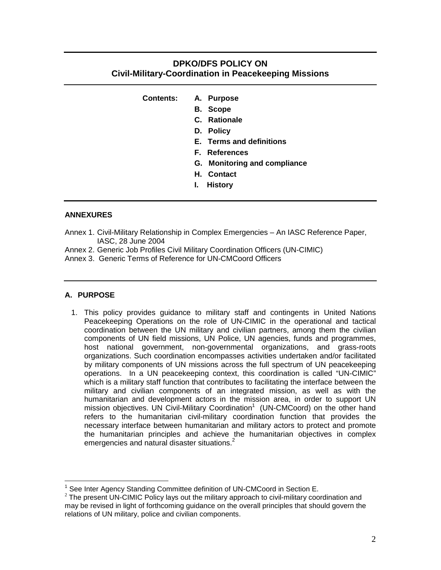# **DPKO/DFS POLICY ON Civil-Military-Coordination in Peacekeeping Missions**

| <b>Contents:</b> |  | A. Purpose |
|------------------|--|------------|
|------------------|--|------------|

- **B. Scope**
- **C. Rationale**
- **D. Policy**
- **E. Terms and definitions**
- **F. References**
- **G. Monitoring and compliance**
- **H. Contact**
- **I. History**

#### **ANNEXURES**

- Annex 1. Civil-Military Relationship in Complex Emergencies An IASC Reference Paper, IASC, 28 June 2004
- Annex 2. Generic Job Profiles Civil Military Coordination Officers (UN-CIMIC)
- Annex 3. Generic Terms of Reference for UN-CMCoord Officers

#### **A. PURPOSE**

1. This policy provides guidance to military staff and contingents in United Nations Peacekeeping Operations on the role of UN-CIMIC in the operational and tactical coordination between the UN military and civilian partners, among them the civilian components of UN field missions, UN Police, UN agencies, funds and programmes, host national government, non-governmental organizations, and grass-roots organizations. Such coordination encompasses activities undertaken and/or facilitated by military components of UN missions across the full spectrum of UN peacekeeping operations. In a UN peacekeeping context, this coordination is called "UN-CIMIC" which is a military staff function that contributes to facilitating the interface between the military and civilian components of an integrated mission, as well as with the humanitarian and development actors in the mission area, in order to support UN mission objectives. UN Civil-Military Coordination<sup>1</sup> (UN-CMCoord) on the other hand refers to the humanitarian civil-military coordination function that provides the necessary interface between humanitarian and military actors to protect and promote the humanitarian principles and achieve the humanitarian objectives in complex emergencies and natural disaster situations. $2$ 

 1 See Inter Agency Standing Committee definition of UN-CMCoord in Section E.

 $2$  The present UN-CIMIC Policy lays out the military approach to civil-military coordination and may be revised in light of forthcoming guidance on the overall principles that should govern the relations of UN military, police and civilian components.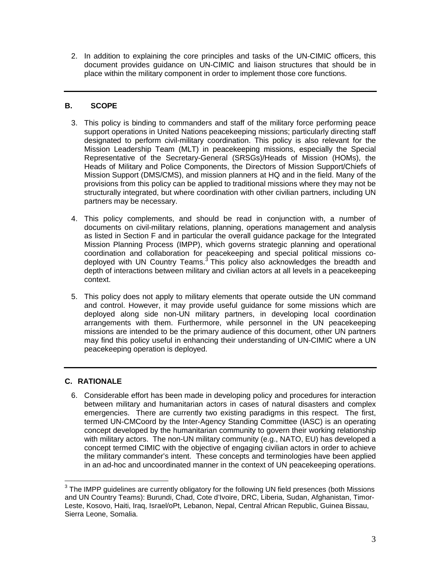2. In addition to explaining the core principles and tasks of the UN-CIMIC officers, this document provides guidance on UN-CIMIC and liaison structures that should be in place within the military component in order to implement those core functions.

# **B. SCOPE**

- 3. This policy is binding to commanders and staff of the military force performing peace support operations in United Nations peacekeeping missions; particularly directing staff designated to perform civil-military coordination. This policy is also relevant for the Mission Leadership Team (MLT) in peacekeeping missions, especially the Special Representative of the Secretary-General (SRSGs)/Heads of Mission (HOMs), the Heads of Military and Police Components, the Directors of Mission Support/Chiefs of Mission Support (DMS/CMS), and mission planners at HQ and in the field. Many of the provisions from this policy can be applied to traditional missions where they may not be structurally integrated, but where coordination with other civilian partners, including UN partners may be necessary.
- 4. This policy complements, and should be read in conjunction with, a number of documents on civil-military relations, planning, operations management and analysis as listed in Section F and in particular the overall guidance package for the Integrated Mission Planning Process (IMPP), which governs strategic planning and operational coordination and collaboration for peacekeeping and special political missions codeployed with UN Country Teams.<sup>3</sup> This policy also acknowledges the breadth and depth of interactions between military and civilian actors at all levels in a peacekeeping context.
- 5. This policy does not apply to military elements that operate outside the UN command and control. However, it may provide useful guidance for some missions which are deployed along side non-UN military partners, in developing local coordination arrangements with them. Furthermore, while personnel in the UN peacekeeping missions are intended to be the primary audience of this document, other UN partners may find this policy useful in enhancing their understanding of UN-CIMIC where a UN peacekeeping operation is deployed.

# **C. RATIONALE**

6. Considerable effort has been made in developing policy and procedures for interaction between military and humanitarian actors in cases of natural disasters and complex emergencies. There are currently two existing paradigms in this respect. The first, termed UN-CMCoord by the Inter-Agency Standing Committee (IASC) is an operating concept developed by the humanitarian community to govern their working relationship with military actors. The non-UN military community (e.g., NATO, EU) has developed a concept termed CIMIC with the objective of engaging civilian actors in order to achieve the military commander's intent. These concepts and terminologies have been applied in an ad-hoc and uncoordinated manner in the context of UN peacekeeping operations.

\_\_\_\_\_\_\_\_\_\_\_\_\_\_\_\_\_\_\_\_\_\_\_\_\_\_\_\_\_\_\_\_\_\_\_\_<br><sup>3</sup> The IMPP guidelines are currently obligatory for the following UN field presences (both Missions and UN Country Teams): Burundi, Chad, Cote d'Ivoire, DRC, Liberia, Sudan, Afghanistan, Timor-Leste, Kosovo, Haiti, Iraq, Israel/oPt, Lebanon, Nepal, Central African Republic, Guinea Bissau, Sierra Leone, Somalia.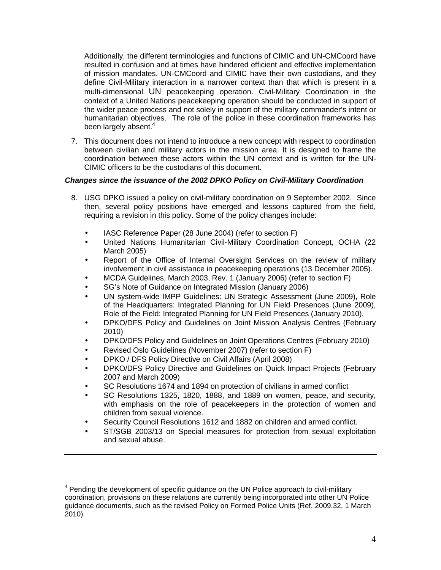Additionally, the different terminologies and functions of CIMIC and UN-CMCoord have resulted in confusion and at times have hindered efficient and effective implementation of mission mandates. UN-CMCoord and CIMIC have their own custodians, and they define Civil-Military interaction in a narrower context than that which is present in a multi-dimensional UN peacekeeping operation. Civil-Military Coordination in the context of a United Nations peacekeeping operation should be conducted in support of the wider peace process and not solely in support of the military commander's intent or humanitarian objectives. The role of the police in these coordination frameworks has been largely absent.<sup>4</sup>

7. This document does not intend to introduce a new concept with respect to coordination between civilian and military actors in the mission area. It is designed to frame the coordination between these actors within the UN context and is written for the UN-CIMIC officers to be the custodians of this document.

# **Changes since the issuance of the 2002 DPKO Policy on Civil-Military Coordination**

- 8. USG DPKO issued a policy on civil-military coordination on 9 September 2002. Since then, several policy positions have emerged and lessons captured from the field, requiring a revision in this policy. Some of the policy changes include:
	- IASC Reference Paper (28 June 2004) (refer to section F)
	- United Nations Humanitarian Civil-Military Coordination Concept, OCHA (22 March 2005)
	- Report of the Office of Internal Oversight Services on the review of military involvement in civil assistance in peacekeeping operations (13 December 2005).
	- MCDA Guidelines, March 2003, Rev. 1 (January 2006) (refer to section F)
	- SG's Note of Guidance on Integrated Mission (January 2006)
	- UN system-wide IMPP Guidelines: UN Strategic Assessment (June 2009), Role of the Headquarters: Integrated Planning for UN Field Presences (June 2009), Role of the Field: Integrated Planning for UN Field Presences (January 2010).
	- DPKO/DFS Policy and Guidelines on Joint Mission Analysis Centres (February 2010)
	- DPKO/DFS Policy and Guidelines on Joint Operations Centres (February 2010)
	- Revised Oslo Guidelines (November 2007) (refer to section F)
	- DPKO / DFS Policy Directive on Civil Affairs (April 2008)
	- DPKO/DFS Policy Directive and Guidelines on Quick Impact Projects (February 2007 and March 2009)
	- SC Resolutions 1674 and 1894 on protection of civilians in armed conflict
	- SC Resolutions 1325, 1820, 1888, and 1889 on women, peace, and security, with emphasis on the role of peacekeepers in the protection of women and children from sexual violence.
	- Security Council Resolutions 1612 and 1882 on children and armed conflict.
	- ST/SGB 2003/13 on Special measures for protection from sexual exploitation and sexual abuse.

<sup>————————————————————&</sup>lt;br><sup>4</sup> Pending the development of specific guidance on the UN Police approach to civil-military coordination, provisions on these relations are currently being incorporated into other UN Police guidance documents, such as the revised Policy on Formed Police Units (Ref. 2009.32, 1 March 2010).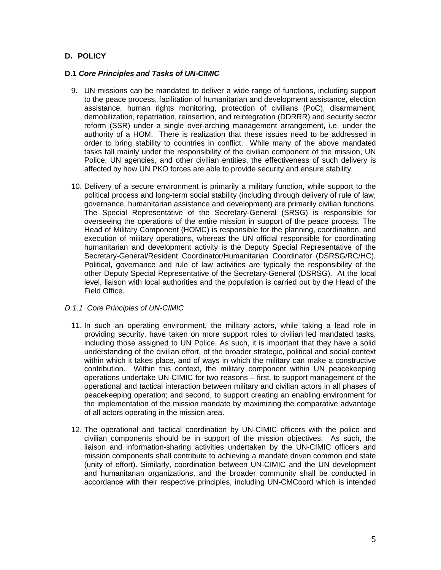# **D. POLICY**

#### **D.1 Core Principles and Tasks of UN-CIMIC**

- 9. UN missions can be mandated to deliver a wide range of functions, including support to the peace process, facilitation of humanitarian and development assistance, election assistance, human rights monitoring, protection of civilians (PoC), disarmament, demobilization, repatriation, reinsertion, and reintegration (DDRRR) and security sector reform (SSR) under a single over-arching management arrangement, i.e. under the authority of a HOM. There is realization that these issues need to be addressed in order to bring stability to countries in conflict. While many of the above mandated tasks fall mainly under the responsibility of the civilian component of the mission, UN Police, UN agencies, and other civilian entities, the effectiveness of such delivery is affected by how UN PKO forces are able to provide security and ensure stability.
- 10. Delivery of a secure environment is primarily a military function, while support to the political process and long-term social stability (including through delivery of rule of law, governance, humanitarian assistance and development) are primarily civilian functions. The Special Representative of the Secretary-General (SRSG) is responsible for overseeing the operations of the entire mission in support of the peace process. The Head of Military Component (HOMC) is responsible for the planning, coordination, and execution of military operations, whereas the UN official responsible for coordinating humanitarian and development activity is the Deputy Special Representative of the Secretary-General/Resident Coordinator/Humanitarian Coordinator (DSRSG/RC/HC). Political, governance and rule of law activities are typically the responsibility of the other Deputy Special Representative of the Secretary-General (DSRSG). At the local level, liaison with local authorities and the population is carried out by the Head of the Field Office.

#### D.1.1 Core Principles of UN-CIMIC

- 11. In such an operating environment, the military actors, while taking a lead role in providing security, have taken on more support roles to civilian led mandated tasks, including those assigned to UN Police. As such, it is important that they have a solid understanding of the civilian effort, of the broader strategic, political and social context within which it takes place, and of ways in which the military can make a constructive contribution. Within this context, the military component within UN peacekeeping operations undertake UN-CIMIC for two reasons – first, to support management of the operational and tactical interaction between military and civilian actors in all phases of peacekeeping operation; and second, to support creating an enabling environment for the implementation of the mission mandate by maximizing the comparative advantage of all actors operating in the mission area.
- 12. The operational and tactical coordination by UN-CIMIC officers with the police and civilian components should be in support of the mission objectives. As such, the liaison and information-sharing activities undertaken by the UN-CIMIC officers and mission components shall contribute to achieving a mandate driven common end state (unity of effort). Similarly, coordination between UN-CIMIC and the UN development and humanitarian organizations, and the broader community shall be conducted in accordance with their respective principles, including UN-CMCoord which is intended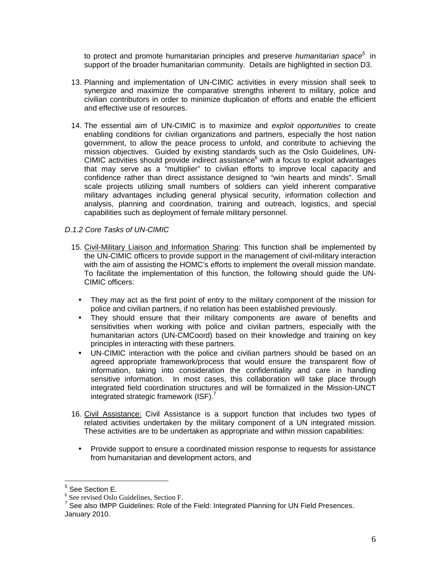to protect and promote humanitarian principles and preserve *humanitarian space*<sup>5</sup> in support of the broader humanitarian community. Details are highlighted in section D3.

- 13. Planning and implementation of UN-CIMIC activities in every mission shall seek to synergize and maximize the comparative strengths inherent to military, police and civilian contributors in order to minimize duplication of efforts and enable the efficient and effective use of resources.
- 14. The essential aim of UN-CIMIC is to maximize and exploit opportunities to create enabling conditions for civilian organizations and partners, especially the host nation government, to allow the peace process to unfold, and contribute to achieving the mission objectives. Guided by existing standards such as the Oslo Guidelines, UN-CIMIC activities should provide indirect assistance $<sup>6</sup>$  with a focus to exploit advantages</sup> that may serve as a "multiplier" to civilian efforts to improve local capacity and confidence rather than direct assistance designed to "win hearts and minds". Small scale projects utilizing small numbers of soldiers can yield inherent comparative military advantages including general physical security, information collection and analysis, planning and coordination, training and outreach, logistics, and special capabilities such as deployment of female military personnel.

#### D.1.2 Core Tasks of UN-CIMIC

- 15. Civil-Military Liaison and Information Sharing: This function shall be implemented by the UN-CIMIC officers to provide support in the management of civil-military interaction with the aim of assisting the HOMC's efforts to implement the overall mission mandate. To facilitate the implementation of this function, the following should guide the UN-CIMIC officers:
	- They may act as the first point of entry to the military component of the mission for police and civilian partners, if no relation has been established previously.
	- They should ensure that their military components are aware of benefits and sensitivities when working with police and civilian partners, especially with the humanitarian actors (UN-CMCoord) based on their knowledge and training on key principles in interacting with these partners.
	- UN-CIMIC interaction with the police and civilian partners should be based on an agreed appropriate framework/process that would ensure the transparent flow of information, taking into consideration the confidentiality and care in handling sensitive information. In most cases, this collaboration will take place through integrated field coordination structures and will be formalized in the Mission-UNCT integrated strategic framework (ISF).<sup>7</sup>
- 16. Civil Assistance: Civil Assistance is a support function that includes two types of related activities undertaken by the military component of a UN integrated mission. These activities are to be undertaken as appropriate and within mission capabilities:
	- Provide support to ensure a coordinated mission response to requests for assistance from humanitarian and development actors, and

 5 See Section E.

<sup>6</sup> See revised Oslo Guidelines, Section F.

 $7$  See also IMPP Guidelines: Role of the Field: Integrated Planning for UN Field Presences. January 2010.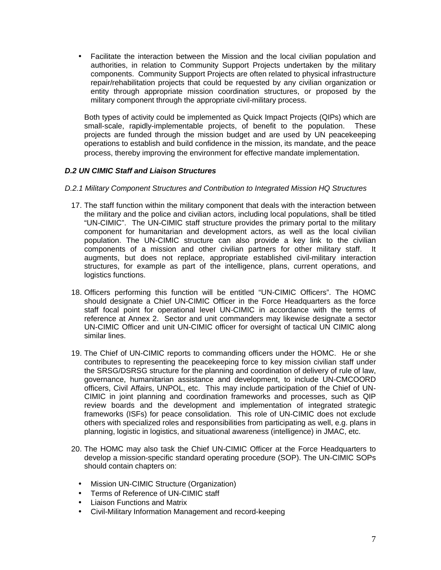• Facilitate the interaction between the Mission and the local civilian population and authorities, in relation to Community Support Projects undertaken by the military components. Community Support Projects are often related to physical infrastructure repair/rehabilitation projects that could be requested by any civilian organization or entity through appropriate mission coordination structures, or proposed by the military component through the appropriate civil-military process.

Both types of activity could be implemented as Quick Impact Projects (QIPs) which are small-scale, rapidly-implementable projects, of benefit to the population. These projects are funded through the mission budget and are used by UN peacekeeping operations to establish and build confidence in the mission, its mandate, and the peace process, thereby improving the environment for effective mandate implementation.

# **D.2 UN CIMIC Staff and Liaison Structures**

- D.2.1 Military Component Structures and Contribution to Integrated Mission HQ Structures
	- 17. The staff function within the military component that deals with the interaction between the military and the police and civilian actors, including local populations, shall be titled "UN-CIMIC". The UN-CIMIC staff structure provides the primary portal to the military component for humanitarian and development actors, as well as the local civilian population. The UN-CIMIC structure can also provide a key link to the civilian components of a mission and other civilian partners for other military staff. It augments, but does not replace, appropriate established civil-military interaction structures, for example as part of the intelligence, plans, current operations, and logistics functions.
	- 18. Officers performing this function will be entitled "UN-CIMIC Officers". The HOMC should designate a Chief UN-CIMIC Officer in the Force Headquarters as the force staff focal point for operational level UN-CIMIC in accordance with the terms of reference at Annex 2. Sector and unit commanders may likewise designate a sector UN-CIMIC Officer and unit UN-CIMIC officer for oversight of tactical UN CIMIC along similar lines.
	- 19. The Chief of UN-CIMIC reports to commanding officers under the HOMC. He or she contributes to representing the peacekeeping force to key mission civilian staff under the SRSG/DSRSG structure for the planning and coordination of delivery of rule of law, governance, humanitarian assistance and development, to include UN-CMCOORD officers, Civil Affairs, UNPOL, etc. This may include participation of the Chief of UN-CIMIC in joint planning and coordination frameworks and processes, such as QIP review boards and the development and implementation of integrated strategic frameworks (ISFs) for peace consolidation. This role of UN-CIMIC does not exclude others with specialized roles and responsibilities from participating as well, e.g. plans in planning, logistic in logistics, and situational awareness (intelligence) in JMAC, etc.
	- 20. The HOMC may also task the Chief UN-CIMIC Officer at the Force Headquarters to develop a mission-specific standard operating procedure (SOP). The UN-CIMIC SOPs should contain chapters on:
		- Mission UN-CIMIC Structure (Organization)
		- Terms of Reference of UN-CIMIC staff
		- Liaison Functions and Matrix
		- Civil-Military Information Management and record-keeping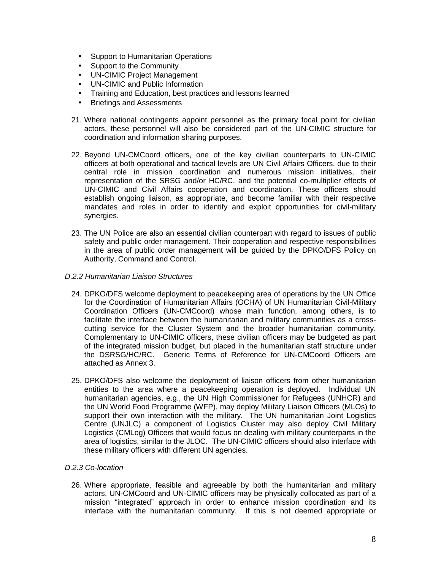- Support to Humanitarian Operations
- Support to the Community
- UN-CIMIC Project Management
- UN-CIMIC and Public Information
- Training and Education, best practices and lessons learned
- Briefings and Assessments
- 21. Where national contingents appoint personnel as the primary focal point for civilian actors, these personnel will also be considered part of the UN-CIMIC structure for coordination and information sharing purposes.
- 22. Beyond UN-CMCoord officers, one of the key civilian counterparts to UN-CIMIC officers at both operational and tactical levels are UN Civil Affairs Officers, due to their central role in mission coordination and numerous mission initiatives, their representation of the SRSG and/or HC/RC, and the potential co-multiplier effects of UN-CIMIC and Civil Affairs cooperation and coordination. These officers should establish ongoing liaison, as appropriate, and become familiar with their respective mandates and roles in order to identify and exploit opportunities for civil-military synergies.
- 23. The UN Police are also an essential civilian counterpart with regard to issues of public safety and public order management. Their cooperation and respective responsibilities in the area of public order management will be guided by the DPKO/DFS Policy on Authority, Command and Control.
- D.2.2 Humanitarian Liaison Structures
	- 24. DPKO/DFS welcome deployment to peacekeeping area of operations by the UN Office for the Coordination of Humanitarian Affairs (OCHA) of UN Humanitarian Civil-Military Coordination Officers (UN-CMCoord) whose main function, among others, is to facilitate the interface between the humanitarian and military communities as a crosscutting service for the Cluster System and the broader humanitarian community. Complementary to UN-CIMIC officers, these civilian officers may be budgeted as part of the integrated mission budget, but placed in the humanitarian staff structure under the DSRSG/HC/RC. Generic Terms of Reference for UN-CMCoord Officers are attached as Annex 3.
	- 25. DPKO/DFS also welcome the deployment of liaison officers from other humanitarian entities to the area where a peacekeeping operation is deployed. Individual UN humanitarian agencies, e.g., the UN High Commissioner for Refugees (UNHCR) and the UN World Food Programme (WFP), may deploy Military Liaison Officers (MLOs) to support their own interaction with the military. The UN humanitarian Joint Logistics Centre (UNJLC) a component of Logistics Cluster may also deploy Civil Military Logistics (CMLog) Officers that would focus on dealing with military counterparts in the area of logistics, similar to the JLOC. The UN-CIMIC officers should also interface with these military officers with different UN agencies.

# D.2.3 Co-location

26. Where appropriate, feasible and agreeable by both the humanitarian and military actors, UN-CMCoord and UN-CIMIC officers may be physically collocated as part of a mission "integrated" approach in order to enhance mission coordination and its interface with the humanitarian community. If this is not deemed appropriate or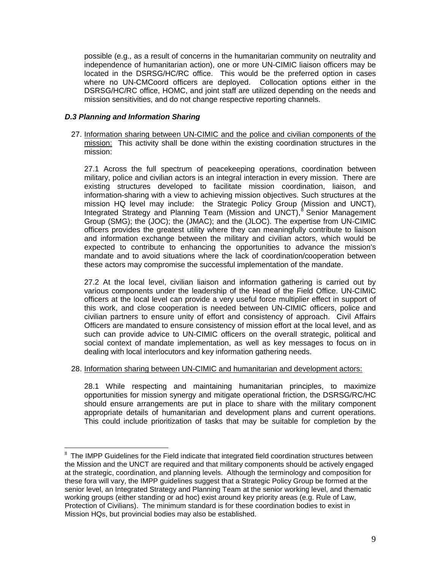possible (e.g., as a result of concerns in the humanitarian community on neutrality and independence of humanitarian action), one or more UN-CIMIC liaison officers may be located in the DSRSG/HC/RC office. This would be the preferred option in cases where no UN-CMCoord officers are deployed. Collocation options either in the DSRSG/HC/RC office, HOMC, and joint staff are utilized depending on the needs and mission sensitivities, and do not change respective reporting channels.

# **D.3 Planning and Information Sharing**

27. Information sharing between UN-CIMIC and the police and civilian components of the mission: This activity shall be done within the existing coordination structures in the mission:

27.1 Across the full spectrum of peacekeeping operations, coordination between military, police and civilian actors is an integral interaction in every mission. There are existing structures developed to facilitate mission coordination, liaison, and information-sharing with a view to achieving mission objectives. Such structures at the mission HQ level may include: the Strategic Policy Group (Mission and UNCT), Integrated Strategy and Planning Team (Mission and UNCT),<sup>8</sup> Senior Management Group (SMG); the (JOC); the (JMAC); and the (JLOC). The expertise from UN-CIMIC officers provides the greatest utility where they can meaningfully contribute to liaison and information exchange between the military and civilian actors, which would be expected to contribute to enhancing the opportunities to advance the mission's mandate and to avoid situations where the lack of coordination/cooperation between these actors may compromise the successful implementation of the mandate.

27.2 At the local level, civilian liaison and information gathering is carried out by various components under the leadership of the Head of the Field Office. UN-CIMIC officers at the local level can provide a very useful force multiplier effect in support of this work, and close cooperation is needed between UN-CIMIC officers, police and civilian partners to ensure unity of effort and consistency of approach. Civil Affairs Officers are mandated to ensure consistency of mission effort at the local level, and as such can provide advice to UN-CIMIC officers on the overall strategic, political and social context of mandate implementation, as well as key messages to focus on in dealing with local interlocutors and key information gathering needs.

# 28. Information sharing between UN-CIMIC and humanitarian and development actors:

28.1 While respecting and maintaining humanitarian principles, to maximize opportunities for mission synergy and mitigate operational friction, the DSRSG/RC/HC should ensure arrangements are put in place to share with the military component appropriate details of humanitarian and development plans and current operations. This could include prioritization of tasks that may be suitable for completion by the

 8 The IMPP Guidelines for the Field indicate that integrated field coordination structures between the Mission and the UNCT are required and that military components should be actively engaged at the strategic, coordination, and planning levels. Although the terminology and composition for these fora will vary, the IMPP guidelines suggest that a Strategic Policy Group be formed at the senior level, an Integrated Strategy and Planning Team at the senior working level, and thematic working groups (either standing or ad hoc) exist around key priority areas (e.g. Rule of Law, Protection of Civilians). The minimum standard is for these coordination bodies to exist in Mission HQs, but provincial bodies may also be established.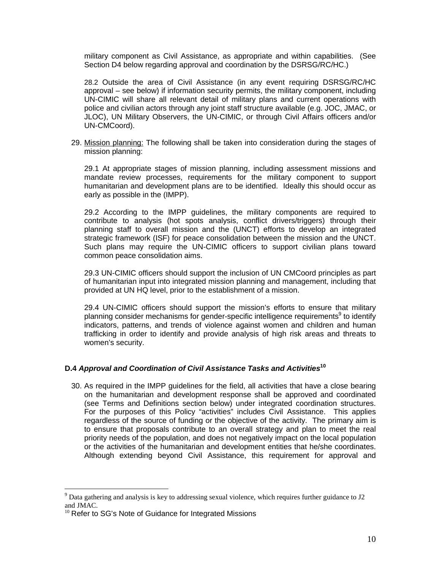military component as Civil Assistance, as appropriate and within capabilities. (See Section D4 below regarding approval and coordination by the DSRSG/RC/HC.)

28.2 Outside the area of Civil Assistance (in any event requiring DSRSG/RC/HC approval – see below) if information security permits, the military component, including UN-CIMIC will share all relevant detail of military plans and current operations with police and civilian actors through any joint staff structure available (e.g. JOC, JMAC, or JLOC), UN Military Observers, the UN-CIMIC, or through Civil Affairs officers and/or UN-CMCoord).

29. Mission planning: The following shall be taken into consideration during the stages of mission planning:

29.1 At appropriate stages of mission planning, including assessment missions and mandate review processes, requirements for the military component to support humanitarian and development plans are to be identified. Ideally this should occur as early as possible in the (IMPP).

29.2 According to the IMPP guidelines, the military components are required to contribute to analysis (hot spots analysis, conflict drivers/triggers) through their planning staff to overall mission and the (UNCT) efforts to develop an integrated strategic framework (ISF) for peace consolidation between the mission and the UNCT. Such plans may require the UN-CIMIC officers to support civilian plans toward common peace consolidation aims.

29.3 UN-CIMIC officers should support the inclusion of UN CMCoord principles as part of humanitarian input into integrated mission planning and management, including that provided at UN HQ level, prior to the establishment of a mission.

29.4 UN-CIMIC officers should support the mission's efforts to ensure that military planning consider mechanisms for gender-specific intelligence requirements<sup>9</sup> to identify indicators, patterns, and trends of violence against women and children and human trafficking in order to identify and provide analysis of high risk areas and threats to women's security.

# **D.4 Approval and Coordination of Civil Assistance Tasks and Activities<sup>10</sup>**

30. As required in the IMPP guidelines for the field, all activities that have a close bearing on the humanitarian and development response shall be approved and coordinated (see Terms and Definitions section below) under integrated coordination structures. For the purposes of this Policy "activities" includes Civil Assistance. This applies regardless of the source of funding or the objective of the activity. The primary aim is to ensure that proposals contribute to an overall strategy and plan to meet the real priority needs of the population, and does not negatively impact on the local population or the activities of the humanitarian and development entities that he/she coordinates. Although extending beyond Civil Assistance, this requirement for approval and

The sum set of the set of the set of the set of the set of the sexual violence, which requires further guidance to J2<br><sup>9</sup> Data gathering and analysis is key to addressing sexual violence, which requires further guidance to and JMAC.

 $10$  Refer to SG's Note of Guidance for Integrated Missions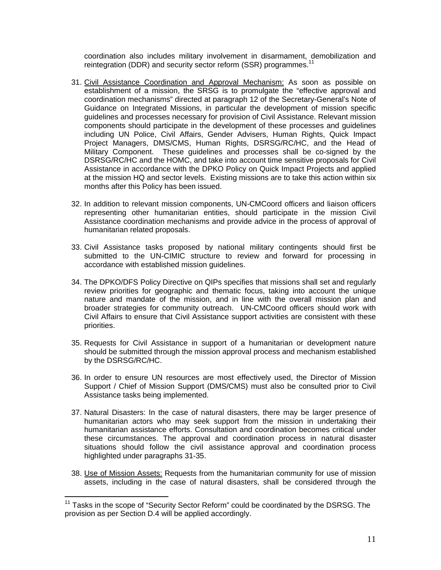coordination also includes military involvement in disarmament, demobilization and reintegration (DDR) and security sector reform (SSR) programmes.<sup>11</sup>

- 31. Civil Assistance Coordination and Approval Mechanism: As soon as possible on establishment of a mission, the SRSG is to promulgate the "effective approval and coordination mechanisms" directed at paragraph 12 of the Secretary-General's Note of Guidance on Integrated Missions, in particular the development of mission specific guidelines and processes necessary for provision of Civil Assistance. Relevant mission components should participate in the development of these processes and guidelines including UN Police, Civil Affairs, Gender Advisers, Human Rights, Quick Impact Project Managers, DMS/CMS, Human Rights, DSRSG/RC/HC, and the Head of Military Component. These guidelines and processes shall be co-signed by the DSRSG/RC/HC and the HOMC, and take into account time sensitive proposals for Civil Assistance in accordance with the DPKO Policy on Quick Impact Projects and applied at the mission HQ and sector levels. Existing missions are to take this action within six months after this Policy has been issued.
- 32. In addition to relevant mission components, UN-CMCoord officers and liaison officers representing other humanitarian entities, should participate in the mission Civil Assistance coordination mechanisms and provide advice in the process of approval of humanitarian related proposals.
- 33. Civil Assistance tasks proposed by national military contingents should first be submitted to the UN-CIMIC structure to review and forward for processing in accordance with established mission guidelines.
- 34. The DPKO/DFS Policy Directive on QIPs specifies that missions shall set and regularly review priorities for geographic and thematic focus, taking into account the unique nature and mandate of the mission, and in line with the overall mission plan and broader strategies for community outreach. UN-CMCoord officers should work with Civil Affairs to ensure that Civil Assistance support activities are consistent with these priorities.
- 35. Requests for Civil Assistance in support of a humanitarian or development nature should be submitted through the mission approval process and mechanism established by the DSRSG/RC/HC.
- 36. In order to ensure UN resources are most effectively used, the Director of Mission Support / Chief of Mission Support (DMS/CMS) must also be consulted prior to Civil Assistance tasks being implemented.
- 37. Natural Disasters: In the case of natural disasters, there may be larger presence of humanitarian actors who may seek support from the mission in undertaking their humanitarian assistance efforts. Consultation and coordination becomes critical under these circumstances. The approval and coordination process in natural disaster situations should follow the civil assistance approval and coordination process highlighted under paragraphs 31-35.
- 38. Use of Mission Assets: Requests from the humanitarian community for use of mission assets, including in the case of natural disasters, shall be considered through the

<u>.</u>

 $11$  Tasks in the scope of "Security Sector Reform" could be coordinated by the DSRSG. The provision as per Section D.4 will be applied accordingly.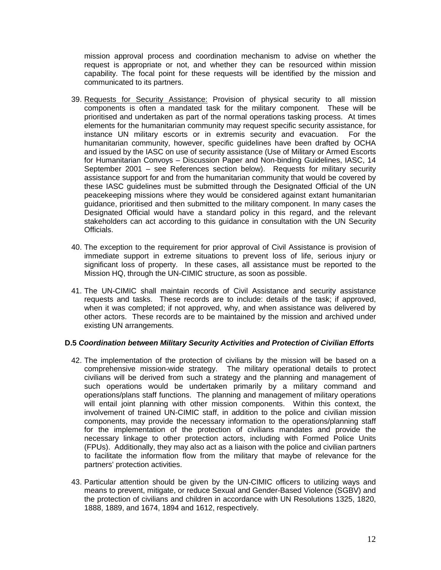mission approval process and coordination mechanism to advise on whether the request is appropriate or not, and whether they can be resourced within mission capability. The focal point for these requests will be identified by the mission and communicated to its partners.

- 39. Requests for Security Assistance: Provision of physical security to all mission components is often a mandated task for the military component. These will be prioritised and undertaken as part of the normal operations tasking process. At times elements for the humanitarian community may request specific security assistance, for instance UN military escorts or in extremis security and evacuation. For the humanitarian community, however, specific guidelines have been drafted by OCHA and issued by the IASC on use of security assistance (Use of Military or Armed Escorts for Humanitarian Convoys – Discussion Paper and Non-binding Guidelines, IASC, 14 September 2001 – see References section below). Requests for military security assistance support for and from the humanitarian community that would be covered by these IASC guidelines must be submitted through the Designated Official of the UN peacekeeping missions where they would be considered against extant humanitarian guidance, prioritised and then submitted to the military component. In many cases the Designated Official would have a standard policy in this regard, and the relevant stakeholders can act according to this guidance in consultation with the UN Security Officials.
- 40. The exception to the requirement for prior approval of Civil Assistance is provision of immediate support in extreme situations to prevent loss of life, serious injury or significant loss of property. In these cases, all assistance must be reported to the Mission HQ, through the UN-CIMIC structure, as soon as possible.
- 41. The UN-CIMIC shall maintain records of Civil Assistance and security assistance requests and tasks. These records are to include: details of the task; if approved, when it was completed; if not approved, why, and when assistance was delivered by other actors. These records are to be maintained by the mission and archived under existing UN arrangements.

#### **D.5 Coordination between Military Security Activities and Protection of Civilian Efforts**

- 42. The implementation of the protection of civilians by the mission will be based on a comprehensive mission-wide strategy. The military operational details to protect civilians will be derived from such a strategy and the planning and management of such operations would be undertaken primarily by a military command and operations/plans staff functions. The planning and management of military operations will entail joint planning with other mission components. Within this context, the involvement of trained UN-CIMIC staff, in addition to the police and civilian mission components, may provide the necessary information to the operations/planning staff for the implementation of the protection of civilians mandates and provide the necessary linkage to other protection actors, including with Formed Police Units (FPUs). Additionally, they may also act as a liaison with the police and civilian partners to facilitate the information flow from the military that maybe of relevance for the partners' protection activities.
- 43. Particular attention should be given by the UN-CIMIC officers to utilizing ways and means to prevent, mitigate, or reduce Sexual and Gender-Based Violence (SGBV) and the protection of civilians and children in accordance with UN Resolutions 1325, 1820, 1888, 1889, and 1674, 1894 and 1612, respectively.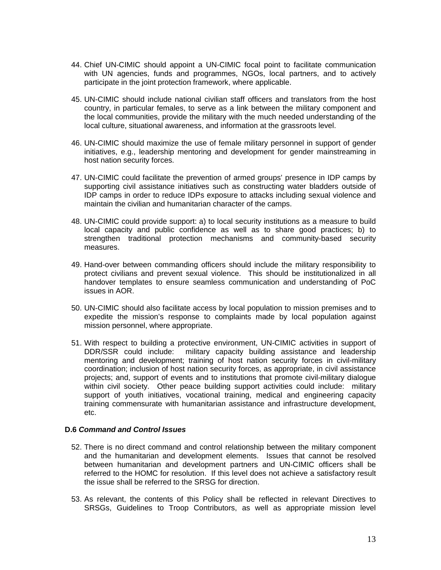- 44. Chief UN-CIMIC should appoint a UN-CIMIC focal point to facilitate communication with UN agencies, funds and programmes, NGOs, local partners, and to actively participate in the joint protection framework, where applicable.
- 45. UN-CIMIC should include national civilian staff officers and translators from the host country, in particular females, to serve as a link between the military component and the local communities, provide the military with the much needed understanding of the local culture, situational awareness, and information at the grassroots level.
- 46. UN-CIMIC should maximize the use of female military personnel in support of gender initiatives, e.g., leadership mentoring and development for gender mainstreaming in host nation security forces.
- 47. UN-CIMIC could facilitate the prevention of armed groups' presence in IDP camps by supporting civil assistance initiatives such as constructing water bladders outside of IDP camps in order to reduce IDPs exposure to attacks including sexual violence and maintain the civilian and humanitarian character of the camps.
- 48. UN-CIMIC could provide support: a) to local security institutions as a measure to build local capacity and public confidence as well as to share good practices; b) to strengthen traditional protection mechanisms and community-based security measures.
- 49. Hand-over between commanding officers should include the military responsibility to protect civilians and prevent sexual violence. This should be institutionalized in all handover templates to ensure seamless communication and understanding of PoC issues in AOR.
- 50. UN-CIMIC should also facilitate access by local population to mission premises and to expedite the mission's response to complaints made by local population against mission personnel, where appropriate.
- 51. With respect to building a protective environment, UN-CIMIC activities in support of DDR/SSR could include: military capacity building assistance and leadership mentoring and development; training of host nation security forces in civil-military coordination; inclusion of host nation security forces, as appropriate, in civil assistance projects; and, support of events and to institutions that promote civil-military dialogue within civil society. Other peace building support activities could include: military support of youth initiatives, vocational training, medical and engineering capacity training commensurate with humanitarian assistance and infrastructure development, etc.

#### **D.6 Command and Control Issues**

- 52. There is no direct command and control relationship between the military component and the humanitarian and development elements. Issues that cannot be resolved between humanitarian and development partners and UN-CIMIC officers shall be referred to the HOMC for resolution. If this level does not achieve a satisfactory result the issue shall be referred to the SRSG for direction.
- 53. As relevant, the contents of this Policy shall be reflected in relevant Directives to SRSGs, Guidelines to Troop Contributors, as well as appropriate mission level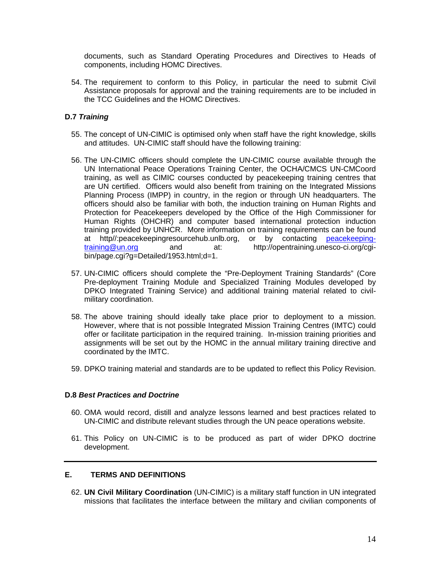documents, such as Standard Operating Procedures and Directives to Heads of components, including HOMC Directives.

54. The requirement to conform to this Policy, in particular the need to submit Civil Assistance proposals for approval and the training requirements are to be included in the TCC Guidelines and the HOMC Directives.

# **D.7 Training**

- 55. The concept of UN-CIMIC is optimised only when staff have the right knowledge, skills and attitudes. UN-CIMIC staff should have the following training:
- 56. The UN-CIMIC officers should complete the UN-CIMIC course available through the UN International Peace Operations Training Center, the OCHA/CMCS UN-CMCoord training, as well as CIMIC courses conducted by peacekeeping training centres that are UN certified. Officers would also benefit from training on the Integrated Missions Planning Process (IMPP) in country, in the region or through UN headquarters. The officers should also be familiar with both, the induction training on Human Rights and Protection for Peacekeepers developed by the Office of the High Commissioner for Human Rights (OHCHR) and computer based international protection induction training provided by UNHCR. More information on training requirements can be found at http//:peacekeepingresourcehub.unlb.org, or by contacting peacekeeping-<br>training@un.org and at: http://opentraining.unesco-ci.org/cgiand at: http://opentraining.unesco-ci.org/cgibin/page.cgi?g=Detailed/1953.html;d=1.
- 57. UN-CIMIC officers should complete the "Pre-Deployment Training Standards" (Core Pre-deployment Training Module and Specialized Training Modules developed by DPKO Integrated Training Service) and additional training material related to civilmilitary coordination.
- 58. The above training should ideally take place prior to deployment to a mission. However, where that is not possible Integrated Mission Training Centres (IMTC) could offer or facilitate participation in the required training. In-mission training priorities and assignments will be set out by the HOMC in the annual military training directive and coordinated by the IMTC.
- 59. DPKO training material and standards are to be updated to reflect this Policy Revision.

#### **D.8 Best Practices and Doctrine**

- 60. OMA would record, distill and analyze lessons learned and best practices related to UN-CIMIC and distribute relevant studies through the UN peace operations website.
- 61. This Policy on UN-CIMIC is to be produced as part of wider DPKO doctrine development.

# **E. TERMS AND DEFINITIONS**

62. **UN Civil Military Coordination** (UN-CIMIC) is a military staff function in UN integrated missions that facilitates the interface between the military and civilian components of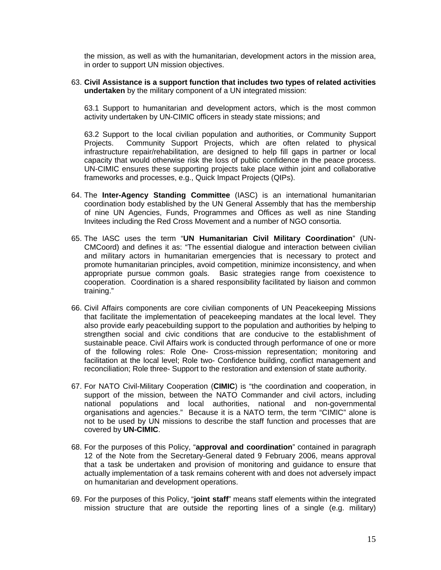the mission, as well as with the humanitarian, development actors in the mission area, in order to support UN mission objectives.

63. **Civil Assistance is a support function that includes two types of related activities undertaken** by the military component of a UN integrated mission:

63.1 Support to humanitarian and development actors, which is the most common activity undertaken by UN-CIMIC officers in steady state missions; and

63.2 Support to the local civilian population and authorities, or Community Support Projects. Community Support Projects, which are often related to physical infrastructure repair/rehabilitation, are designed to help fill gaps in partner or local capacity that would otherwise risk the loss of public confidence in the peace process. UN-CIMIC ensures these supporting projects take place within joint and collaborative frameworks and processes, e.g., Quick Impact Projects (QIPs).

- 64. The **Inter-Agency Standing Committee** (IASC) is an international humanitarian coordination body established by the UN General Assembly that has the membership of nine UN Agencies, Funds, Programmes and Offices as well as nine Standing Invitees including the Red Cross Movement and a number of NGO consortia.
- 65. The IASC uses the term "**UN Humanitarian Civil Military Coordination**" (UN-CMCoord) and defines it as: "The essential dialogue and interaction between civilian and military actors in humanitarian emergencies that is necessary to protect and promote humanitarian principles, avoid competition, minimize inconsistency, and when appropriate pursue common goals. Basic strategies range from coexistence to cooperation. Coordination is a shared responsibility facilitated by liaison and common training."
- 66. Civil Affairs components are core civilian components of UN Peacekeeping Missions that facilitate the implementation of peacekeeping mandates at the local level. They also provide early peacebuilding support to the population and authorities by helping to strengthen social and civic conditions that are conducive to the establishment of sustainable peace. Civil Affairs work is conducted through performance of one or more of the following roles: Role One- Cross-mission representation; monitoring and facilitation at the local level; Role two- Confidence building, conflict management and reconciliation; Role three- Support to the restoration and extension of state authority.
- 67. For NATO Civil-Military Cooperation (**CIMIC**) is "the coordination and cooperation, in support of the mission, between the NATO Commander and civil actors, including national populations and local authorities, national and non-governmental organisations and agencies." Because it is a NATO term, the term "CIMIC" alone is not to be used by UN missions to describe the staff function and processes that are covered by **UN-CIMIC**.
- 68. For the purposes of this Policy, "**approval and coordination**" contained in paragraph 12 of the Note from the Secretary-General dated 9 February 2006, means approval that a task be undertaken and provision of monitoring and guidance to ensure that actually implementation of a task remains coherent with and does not adversely impact on humanitarian and development operations.
- 69. For the purposes of this Policy, "**joint staff**" means staff elements within the integrated mission structure that are outside the reporting lines of a single (e.g. military)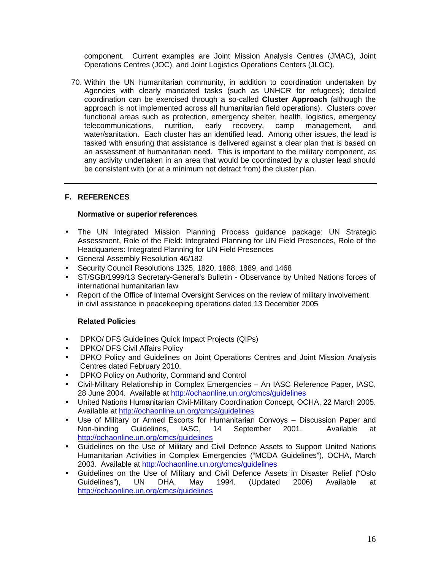component. Current examples are Joint Mission Analysis Centres (JMAC), Joint Operations Centres (JOC), and Joint Logistics Operations Centers (JLOC).

70. Within the UN humanitarian community, in addition to coordination undertaken by Agencies with clearly mandated tasks (such as UNHCR for refugees); detailed coordination can be exercised through a so-called **Cluster Approach** (although the approach is not implemented across all humanitarian field operations). Clusters cover functional areas such as protection, emergency shelter, health, logistics, emergency telecommunications, nutrition, early recovery, camp management, and water/sanitation. Each cluster has an identified lead. Among other issues, the lead is tasked with ensuring that assistance is delivered against a clear plan that is based on an assessment of humanitarian need. This is important to the military component, as any activity undertaken in an area that would be coordinated by a cluster lead should be consistent with (or at a minimum not detract from) the cluster plan.

# **F. REFERENCES**

#### **Normative or superior references**

- The UN Integrated Mission Planning Process guidance package: UN Strategic Assessment, Role of the Field: Integrated Planning for UN Field Presences, Role of the Headquarters: Integrated Planning for UN Field Presences
- General Assembly Resolution 46/182
- Security Council Resolutions 1325, 1820, 1888, 1889, and 1468
- ST/SGB/1999/13 Secretary-General's Bulletin Observance by United Nations forces of international humanitarian law
- Report of the Office of Internal Oversight Services on the review of military involvement in civil assistance in peacekeeping operations dated 13 December 2005

#### **Related Policies**

- DPKO/ DFS Guidelines Quick Impact Projects (QIPs)
- DPKO/ DFS Civil Affairs Policy
- DPKO Policy and Guidelines on Joint Operations Centres and Joint Mission Analysis Centres dated February 2010.
- DPKO Policy on Authority, Command and Control
- Civil-Military Relationship in Complex Emergencies An IASC Reference Paper, IASC, 28 June 2004. Available at http://ochaonline.un.org/cmcs/guidelines
- United Nations Humanitarian Civil-Military Coordination Concept, OCHA, 22 March 2005. Available at http://ochaonline.un.org/cmcs/guidelines
- Use of Military or Armed Escorts for Humanitarian Convoys Discussion Paper and Non-binding Guidelines, IASC, 14 September 2001. Available at http://ochaonline.un.org/cmcs/guidelines
- Guidelines on the Use of Military and Civil Defence Assets to Support United Nations Humanitarian Activities in Complex Emergencies ("MCDA Guidelines"), OCHA, March 2003. Available at http://ochaonline.un.org/cmcs/guidelines
- Guidelines on the Use of Military and Civil Defence Assets in Disaster Relief ("Oslo Guidelines"), UN DHA, May 1994. (Updated 2006) Available at http://ochaonline.un.org/cmcs/guidelines